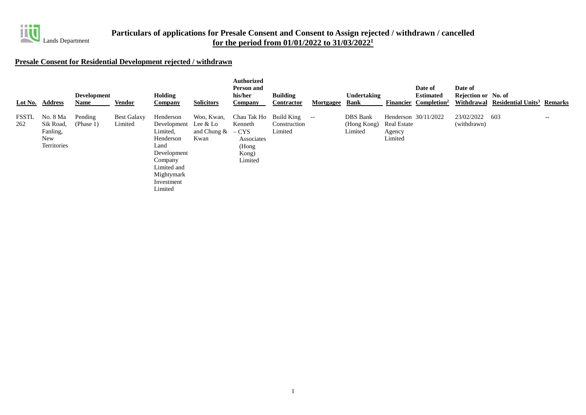

## **Presale Consent for Residential Development rejected / withdrawn**

|              | Lot No. Address                                         | <b>Development</b><br>Name | <b>Vendor</b>                 | <b>Holding</b><br><b>Company</b>                                                                                                                     | <b>Solicitors</b>                    | <b>Authorized</b><br>Person and<br>his/her<br><b>Company</b>                | <b>Building</b><br><b>Contractor</b>         | <u>Mortgagee</u> | Undertaking<br><b>Bank</b>                | <b>Financier</b>                 | Date of<br><b>Estimated</b><br>Completion <sup>2</sup> | Date of<br>Rejection or No. of | Withdrawal Residential Units <sup>3</sup> Remarks |       |
|--------------|---------------------------------------------------------|----------------------------|-------------------------------|------------------------------------------------------------------------------------------------------------------------------------------------------|--------------------------------------|-----------------------------------------------------------------------------|----------------------------------------------|------------------|-------------------------------------------|----------------------------------|--------------------------------------------------------|--------------------------------|---------------------------------------------------|-------|
| FSSTL<br>262 | No. 8 Ma<br>Sik Road,<br>Fanling,<br>New<br>Territories | Pending<br>(Phase 1)       | <b>Best Galaxy</b><br>Limited | Henderson<br>Development Lee $&$ Lo<br>Limited,<br>Henderson<br>Land<br>Development<br>Company<br>Limited and<br>Mightymark<br>Investment<br>Limited | Woo, Kwan,<br>and Chung $\&$<br>Kwan | Chau Tak Ho<br>Kenneth<br>$-CYS$<br>Associates<br>(Hong<br>Kong)<br>Limited | <b>Build King</b><br>Construction<br>Limited | $--$             | <b>DBS</b> Bank<br>(Hong Kong)<br>Limited | Real Estate<br>Agency<br>Limited | Henderson 30/11/2022                                   | 23/02/2022<br>(withdrawn)      | 603                                               | $- -$ |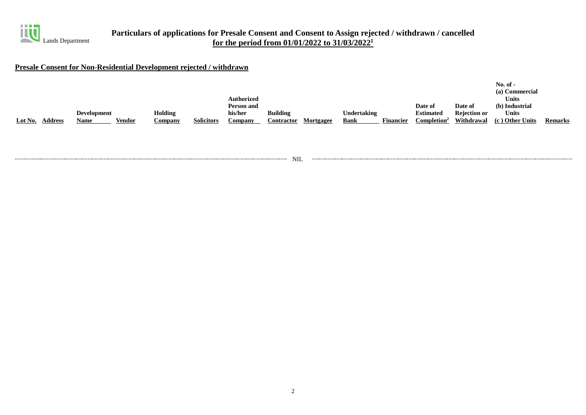

## **Presale Consent for Non-Residential Development rejected / withdrawn**

|         |                |                    |        |                |                   |                   |                 |           |             |                  |                         |                     | $No. of -$      |                |
|---------|----------------|--------------------|--------|----------------|-------------------|-------------------|-----------------|-----------|-------------|------------------|-------------------------|---------------------|-----------------|----------------|
|         |                |                    |        |                |                   |                   |                 |           |             |                  |                         |                     | (a) Commercial  |                |
|         |                |                    |        |                |                   | <b>Authorized</b> |                 |           |             |                  |                         |                     | Units           |                |
|         |                |                    |        |                |                   | Person and        |                 |           |             |                  | Date of                 | Date of             | (b) Industrial  |                |
|         |                | <b>Development</b> |        | Holding        |                   | his/her           | <b>Building</b> |           | Undertaking |                  | <b>Estimated</b>        | <b>Rejection or</b> | Units           |                |
| Lot No. | <b>Address</b> | Name               | Vendor | <b>Company</b> | <b>Solicitors</b> | Company           | Contractor      | Mortgagee | <b>Bank</b> | <b>Financier</b> | Completion <sup>2</sup> | Withdrawal          | (c) Other Units | <b>Remarks</b> |

NIL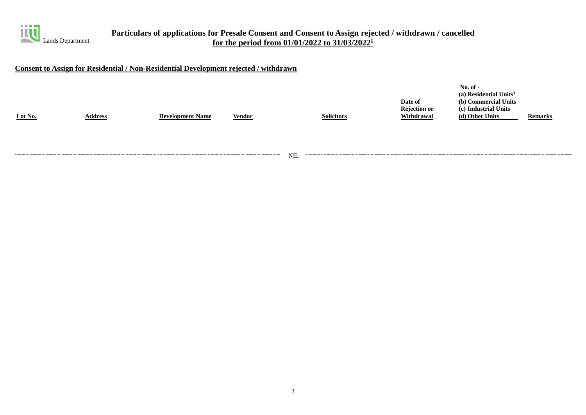

### **Consent to Assign for Residential / Non-Residential Development rejected / withdrawn**

NIL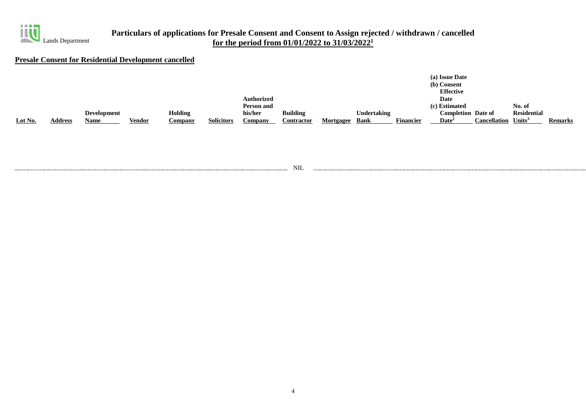

### **Presale Consent for Residential Development cancelled**

|         |                |                    |               |                |                   |                   |                 |           |                    |                  | (a) Issue Date<br>(b) Consent |                     |                    |                |
|---------|----------------|--------------------|---------------|----------------|-------------------|-------------------|-----------------|-----------|--------------------|------------------|-------------------------------|---------------------|--------------------|----------------|
|         |                |                    |               |                |                   |                   |                 |           |                    |                  | <b>Effective</b>              |                     |                    |                |
|         |                |                    |               |                |                   | <b>Authorized</b> |                 |           |                    |                  | Date                          |                     |                    |                |
|         |                |                    |               |                |                   | Person and        |                 |           |                    |                  | (c) Estimated                 |                     | No. of             |                |
|         |                | <b>Development</b> |               | <b>Holding</b> |                   | his/her           | <b>Building</b> |           | <b>Undertaking</b> |                  | <b>Completion Date of</b>     |                     | <b>Residential</b> |                |
| Lot No. | <b>Address</b> | <b>Name</b>        | <b>Vendor</b> | Company        | <b>Solicitors</b> | Company           | Contractor      | Mortgagee | <b>Bank</b>        | <b>Financier</b> | $\mathbf{Date}^2$             | <b>Cancellation</b> | Units $3$          | <b>Remarks</b> |

NIL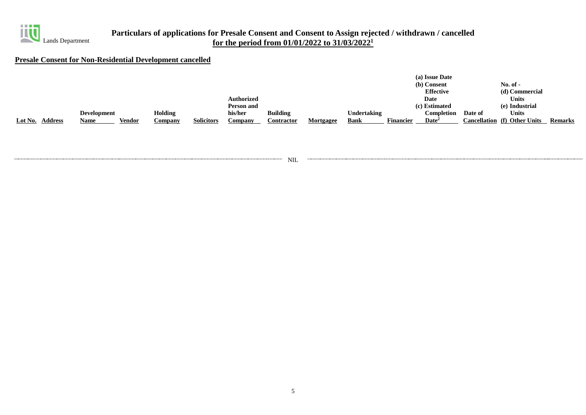

## **Presale Consent for Non-Residential Development cancelled**

|                           |                    |                |                   |                   |                   |           |                    |                  | (a) Issue Date    |         |                                     |                |
|---------------------------|--------------------|----------------|-------------------|-------------------|-------------------|-----------|--------------------|------------------|-------------------|---------|-------------------------------------|----------------|
|                           |                    |                |                   |                   |                   |           |                    |                  | (b) Consent       |         | No. of -                            |                |
|                           |                    |                |                   |                   |                   |           |                    |                  | <b>Effective</b>  |         | (d) Commercial                      |                |
|                           |                    |                |                   | <b>Authorized</b> |                   |           |                    |                  | Date              |         | <b>Units</b>                        |                |
|                           |                    |                |                   | Person and        |                   |           |                    |                  | (c) Estimated     |         | (e) Industrial                      |                |
|                           | <b>Development</b> | <b>Holding</b> |                   | his/her           | <b>Building</b>   |           | <b>Undertaking</b> |                  | Completion        | Date of | <b>Units</b>                        |                |
| Lot No.<br><b>Address</b> | Vendor<br>Name     | Company        | <b>Solicitors</b> | Company           | <b>Contractor</b> | Mortgagee | Bank               | <b>Financier</b> | $\mathbf{Date}^2$ |         | <b>Cancellation</b> (f) Other Units | <b>Remarks</b> |

NIL